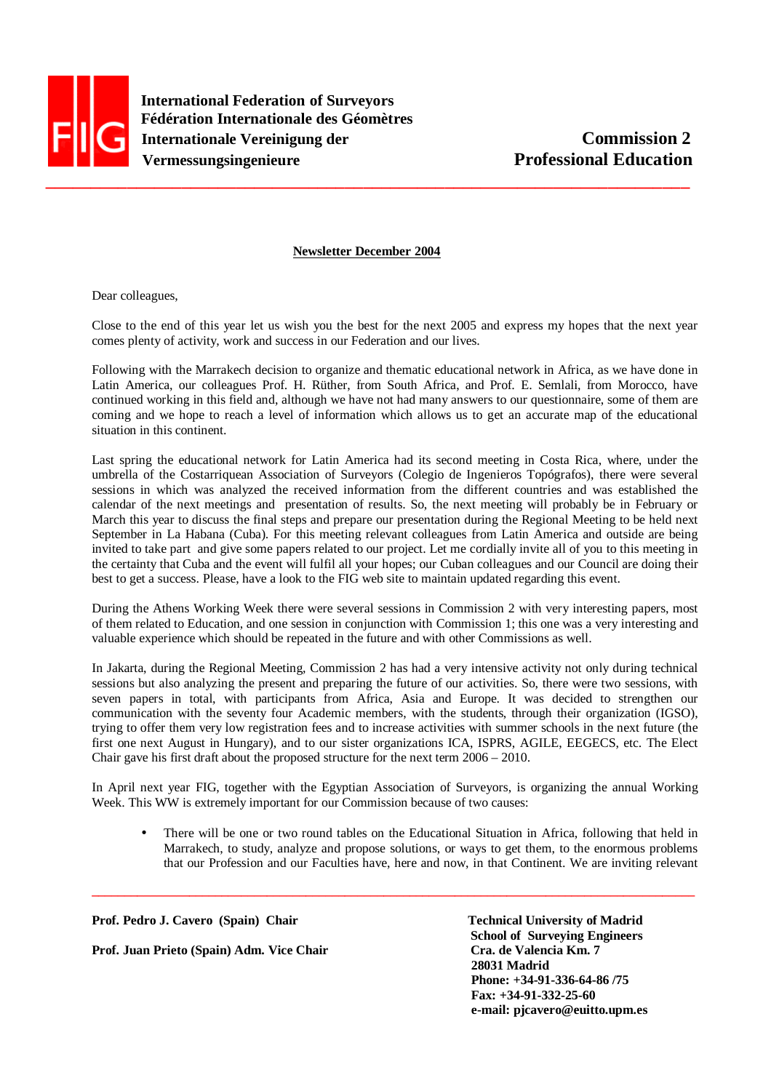

 **International Federation of Surveyors Fédération Internationale des Géomètres Internationale Vereinigung der Commission 2 Vermessungsingenieure** Professional Education

## **Newsletter December 2004**

Dear colleagues,

Close to the end of this year let us wish you the best for the next 2005 and express my hopes that the next year comes plenty of activity, work and success in our Federation and our lives.

Following with the Marrakech decision to organize and thematic educational network in Africa, as we have done in Latin America, our colleagues Prof. H. Rüther, from South Africa, and Prof. E. Semlali, from Morocco, have continued working in this field and, although we have not had many answers to our questionnaire, some of them are coming and we hope to reach a level of information which allows us to get an accurate map of the educational situation in this continent.

Last spring the educational network for Latin America had its second meeting in Costa Rica, where, under the umbrella of the Costarriquean Association of Surveyors (Colegio de Ingenieros Topógrafos), there were several sessions in which was analyzed the received information from the different countries and was established the calendar of the next meetings and presentation of results. So, the next meeting will probably be in February or March this year to discuss the final steps and prepare our presentation during the Regional Meeting to be held next September in La Habana (Cuba). For this meeting relevant colleagues from Latin America and outside are being invited to take part and give some papers related to our project. Let me cordially invite all of you to this meeting in the certainty that Cuba and the event will fulfil all your hopes; our Cuban colleagues and our Council are doing their best to get a success. Please, have a look to the FIG web site to maintain updated regarding this event.

During the Athens Working Week there were several sessions in Commission 2 with very interesting papers, most of them related to Education, and one session in conjunction with Commission 1; this one was a very interesting and valuable experience which should be repeated in the future and with other Commissions as well.

In Jakarta, during the Regional Meeting, Commission 2 has had a very intensive activity not only during technical sessions but also analyzing the present and preparing the future of our activities. So, there were two sessions, with seven papers in total, with participants from Africa, Asia and Europe. It was decided to strengthen our communication with the seventy four Academic members, with the students, through their organization (IGSO), trying to offer them very low registration fees and to increase activities with summer schools in the next future (the first one next August in Hungary), and to our sister organizations ICA, ISPRS, AGILE, EEGECS, etc. The Elect Chair gave his first draft about the proposed structure for the next term 2006 – 2010.

In April next year FIG, together with the Egyptian Association of Surveyors, is organizing the annual Working Week. This WW is extremely important for our Commission because of two causes:

**\_\_\_\_\_\_\_\_\_\_\_\_\_\_\_\_\_\_\_\_\_\_\_\_\_\_\_\_\_\_\_\_\_\_\_\_\_\_\_\_\_\_\_\_\_\_\_\_\_\_\_\_\_\_\_\_\_\_\_\_\_\_\_\_\_\_\_\_\_\_\_\_\_\_\_\_\_\_\_\_\_\_\_\_\_\_\_\_\_\_\_\_\_** 

• There will be one or two round tables on the Educational Situation in Africa, following that held in Marrakech, to study, analyze and propose solutions, or ways to get them, to the enormous problems that our Profession and our Faculties have, here and now, in that Continent. We are inviting relevant

Prof. Pedro J. Cavero (Spain) Chair Technical University of Madrid **Prof. Juan Prieto (Spain) Adm. Vice Chair Cra. de Valencia Km. 7** 

 **School of Surveying Engineers 28031 Madrid Phone: +34-91-336-64-86 /75 Fax: +34-91-332-25-60 e-mail: pjcavero@euitto.upm.es**